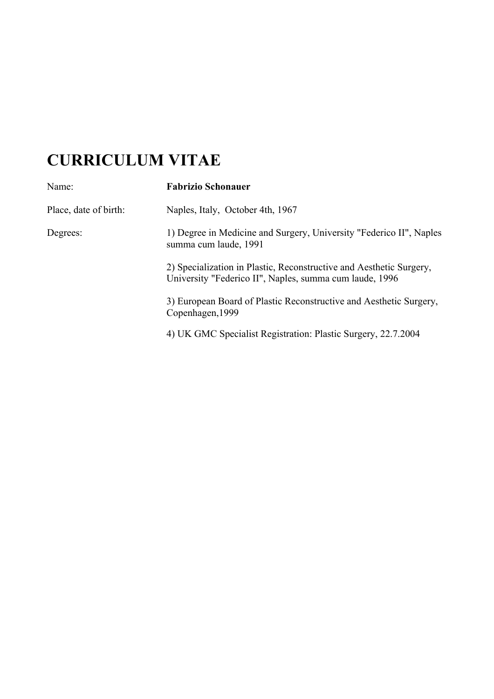# **CURRICULUM VITAE**

| Name:                 | <b>Fabrizio Schonauer</b>                                                                                                      |
|-----------------------|--------------------------------------------------------------------------------------------------------------------------------|
| Place, date of birth: | Naples, Italy, October 4th, 1967                                                                                               |
| Degrees:              | 1) Degree in Medicine and Surgery, University "Federico II", Naples<br>summa cum laude, 1991                                   |
|                       | 2) Specialization in Plastic, Reconstructive and Aesthetic Surgery,<br>University "Federico II", Naples, summa cum laude, 1996 |
|                       | 3) European Board of Plastic Reconstructive and Aesthetic Surgery,<br>Copenhagen, 1999                                         |
|                       | 4) UK GMC Specialist Registration: Plastic Surgery, 22.7.2004                                                                  |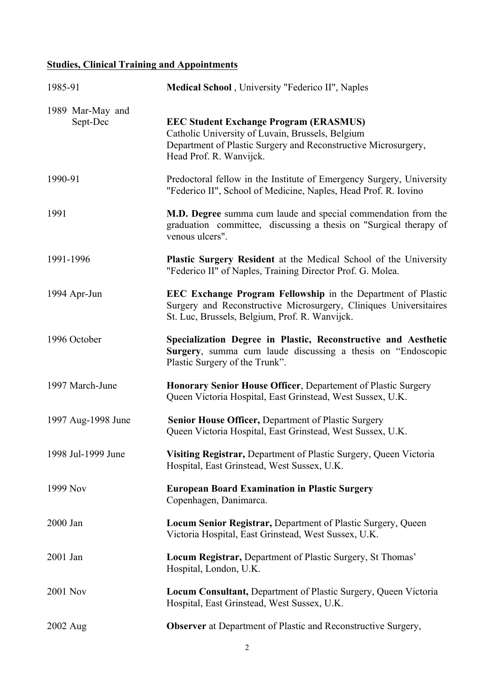## **Studies, Clinical Training and Appointments**

| 1985-91                      | Medical School, University "Federico II", Naples                                                                                                                                               |
|------------------------------|------------------------------------------------------------------------------------------------------------------------------------------------------------------------------------------------|
| 1989 Mar-May and<br>Sept-Dec | <b>EEC Student Exchange Program (ERASMUS)</b><br>Catholic University of Luvain, Brussels, Belgium<br>Department of Plastic Surgery and Reconstructive Microsurgery,<br>Head Prof. R. Wanvijck. |
| 1990-91                      | Predoctoral fellow in the Institute of Emergency Surgery, University<br>"Federico II", School of Medicine, Naples, Head Prof. R. Iovino                                                        |
| 1991                         | M.D. Degree summa cum laude and special commendation from the<br>graduation committee, discussing a thesis on "Surgical therapy of<br>venous ulcers".                                          |
| 1991-1996                    | Plastic Surgery Resident at the Medical School of the University<br>"Federico II" of Naples, Training Director Prof. G. Molea.                                                                 |
| 1994 Apr-Jun                 | <b>EEC Exchange Program Fellowship in the Department of Plastic</b><br>Surgery and Reconstructive Microsurgery, Cliniques Universitaires<br>St. Luc, Brussels, Belgium, Prof. R. Wanvijck.     |
| 1996 October                 | Specialization Degree in Plastic, Reconstructive and Aesthetic<br>Surgery, summa cum laude discussing a thesis on "Endoscopic<br>Plastic Surgery of the Trunk".                                |
| 1997 March-June              | Honorary Senior House Officer, Departement of Plastic Surgery<br>Queen Victoria Hospital, East Grinstead, West Sussex, U.K.                                                                    |
| 1997 Aug-1998 June           | Senior House Officer, Department of Plastic Surgery<br>Queen Victoria Hospital, East Grinstead, West Sussex, U.K.                                                                              |
| 1998 Jul-1999 June           | Visiting Registrar, Department of Plastic Surgery, Queen Victoria<br>Hospital, East Grinstead, West Sussex, U.K.                                                                               |
| 1999 Nov                     | <b>European Board Examination in Plastic Surgery</b><br>Copenhagen, Danimarca.                                                                                                                 |
| 2000 Jan                     | Locum Senior Registrar, Department of Plastic Surgery, Queen<br>Victoria Hospital, East Grinstead, West Sussex, U.K.                                                                           |
| 2001 Jan                     | Locum Registrar, Department of Plastic Surgery, St Thomas'<br>Hospital, London, U.K.                                                                                                           |
| <b>2001 Nov</b>              | <b>Locum Consultant, Department of Plastic Surgery, Queen Victoria</b><br>Hospital, East Grinstead, West Sussex, U.K.                                                                          |
| 2002 Aug                     | <b>Observer</b> at Department of Plastic and Reconstructive Surgery,                                                                                                                           |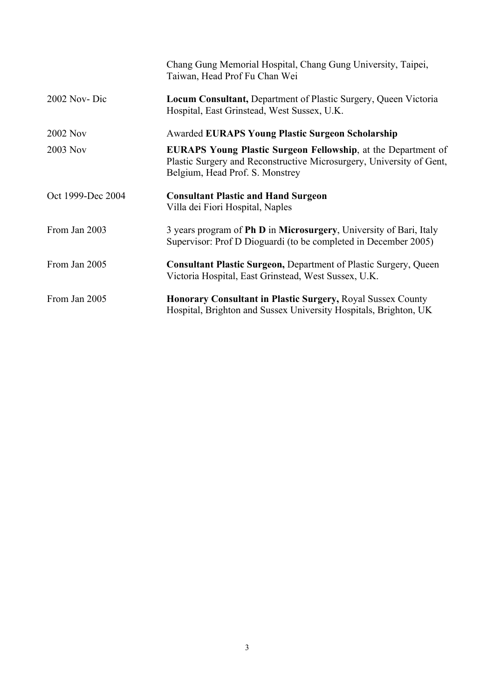|                   | Chang Gung Memorial Hospital, Chang Gung University, Taipei,<br>Taiwan, Head Prof Fu Chan Wei                                                                                   |
|-------------------|---------------------------------------------------------------------------------------------------------------------------------------------------------------------------------|
| 2002 Nov-Dic      | <b>Locum Consultant, Department of Plastic Surgery, Queen Victoria</b><br>Hospital, East Grinstead, West Sussex, U.K.                                                           |
| 2002 Nov          | <b>Awarded EURAPS Young Plastic Surgeon Scholarship</b>                                                                                                                         |
| 2003 Nov          | <b>EURAPS Young Plastic Surgeon Fellowship, at the Department of</b><br>Plastic Surgery and Reconstructive Microsurgery, University of Gent,<br>Belgium, Head Prof. S. Monstrey |
| Oct 1999-Dec 2004 | <b>Consultant Plastic and Hand Surgeon</b><br>Villa dei Fiori Hospital, Naples                                                                                                  |
| From Jan 2003     | 3 years program of Ph D in Microsurgery, University of Bari, Italy<br>Supervisor: Prof D Dioguardi (to be completed in December 2005)                                           |
| From Jan 2005     | <b>Consultant Plastic Surgeon, Department of Plastic Surgery, Queen</b><br>Victoria Hospital, East Grinstead, West Sussex, U.K.                                                 |
| From Jan 2005     | <b>Honorary Consultant in Plastic Surgery, Royal Sussex County</b><br>Hospital, Brighton and Sussex University Hospitals, Brighton, UK                                          |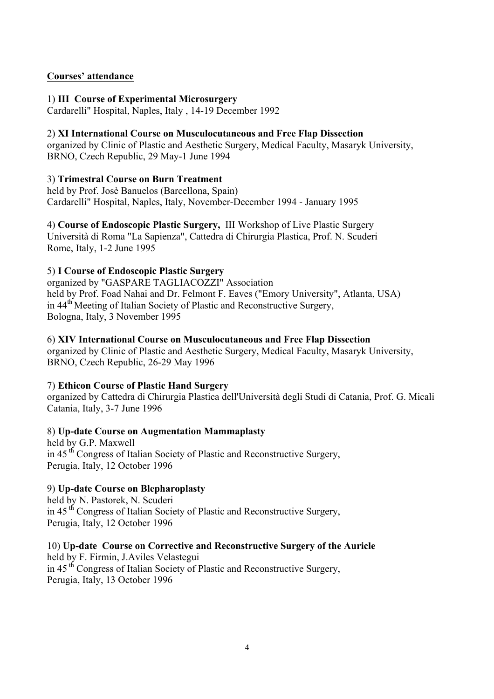#### **Courses' attendance**

#### 1) **III Course of Experimental Microsurgery**

Cardarelli" Hospital, Naples, Italy , 14-19 December 1992

#### 2) **XI International Course on Musculocutaneous and Free Flap Dissection**

organized by Clinic of Plastic and Aesthetic Surgery, Medical Faculty, Masaryk University, BRNO, Czech Republic, 29 May-1 June 1994

#### 3) **Trimestral Course on Burn Treatment**

held by Prof. Josè Banuelos (Barcellona, Spain) Cardarelli" Hospital, Naples, Italy, November-December 1994 - January 1995

4) **Course of Endoscopic Plastic Surgery,** III Workshop of Live Plastic Surgery Università di Roma "La Sapienza", Cattedra di Chirurgia Plastica, Prof. N. Scuderi Rome, Italy, 1-2 June 1995

#### 5) **I Course of Endoscopic Plastic Surgery**

organized by "GASPARE TAGLIACOZZI" Association held by Prof. Foad Nahai and Dr. Felmont F. Eaves ("Emory University", Atlanta, USA) in 44th Meeting of Italian Society of Plastic and Reconstructive Surgery, Bologna, Italy, 3 November 1995

#### 6) **XIV International Course on Musculocutaneous and Free Flap Dissection**

organized by Clinic of Plastic and Aesthetic Surgery, Medical Faculty, Masaryk University, BRNO, Czech Republic, 26-29 May 1996

#### 7) **Ethicon Course of Plastic Hand Surgery**

organized by Cattedra di Chirurgia Plastica dell'Università degli Studi di Catania, Prof. G. Micali Catania, Italy, 3-7 June 1996

#### 8) **Up-date Course on Augmentation Mammaplasty**

held by G.P. Maxwell in 45<sup>th</sup> Congress of Italian Society of Plastic and Reconstructive Surgery, Perugia, Italy, 12 October 1996

#### 9) **Up-date Course on Blepharoplasty**

held by N. Pastorek, N. Scuderi in 45 th Congress of Italian Society of Plastic and Reconstructive Surgery, Perugia, Italy, 12 October 1996

10) **Up-date Course on Corrective and Reconstructive Surgery of the Auricle** held by F. Firmin, J.Aviles Velastegui in 45 th Congress of Italian Society of Plastic and Reconstructive Surgery, Perugia, Italy, 13 October 1996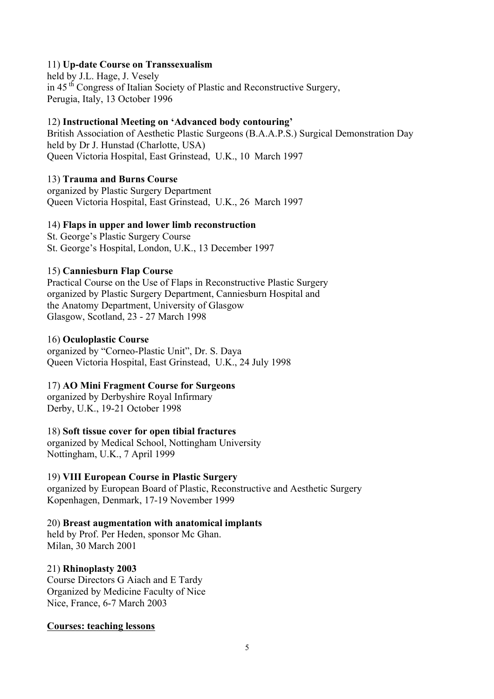#### 11) **Up-date Course on Transsexualism**

held by J.L. Hage, J. Vesely in 45 th Congress of Italian Society of Plastic and Reconstructive Surgery, Perugia, Italy, 13 October 1996

#### 12) **Instructional Meeting on 'Advanced body contouring'**

British Association of Aesthetic Plastic Surgeons (B.A.A.P.S.) Surgical Demonstration Day held by Dr J. Hunstad (Charlotte, USA) Queen Victoria Hospital, East Grinstead, U.K., 10 March 1997

#### 13) **Trauma and Burns Course**

organized by Plastic Surgery Department Queen Victoria Hospital, East Grinstead, U.K., 26 March 1997

#### 14) **Flaps in upper and lower limb reconstruction**

St. George's Plastic Surgery Course St. George's Hospital, London, U.K., 13 December 1997

#### 15) **Canniesburn Flap Course**

Practical Course on the Use of Flaps in Reconstructive Plastic Surgery organized by Plastic Surgery Department, Canniesburn Hospital and the Anatomy Department, University of Glasgow Glasgow, Scotland, 23 - 27 March 1998

#### 16) **Oculoplastic Course**

organized by "Corneo-Plastic Unit", Dr. S. Daya Queen Victoria Hospital, East Grinstead, U.K., 24 July 1998

#### 17) **AO Mini Fragment Course for Surgeons**

organized by Derbyshire Royal Infirmary Derby, U.K., 19-21 October 1998

#### 18) **Soft tissue cover for open tibial fractures**

organized by Medical School, Nottingham University Nottingham, U.K., 7 April 1999

#### 19) **VIII European Course in Plastic Surgery**

organized by European Board of Plastic, Reconstructive and Aesthetic Surgery Kopenhagen, Denmark, 17-19 November 1999

#### 20) **Breast augmentation with anatomical implants**

held by Prof. Per Heden, sponsor Mc Ghan. Milan, 30 March 2001

#### 21) **Rhinoplasty 2003**

Course Directors G Aiach and E Tardy Organized by Medicine Faculty of Nice Nice, France, 6-7 March 2003

#### **Courses: teaching lessons**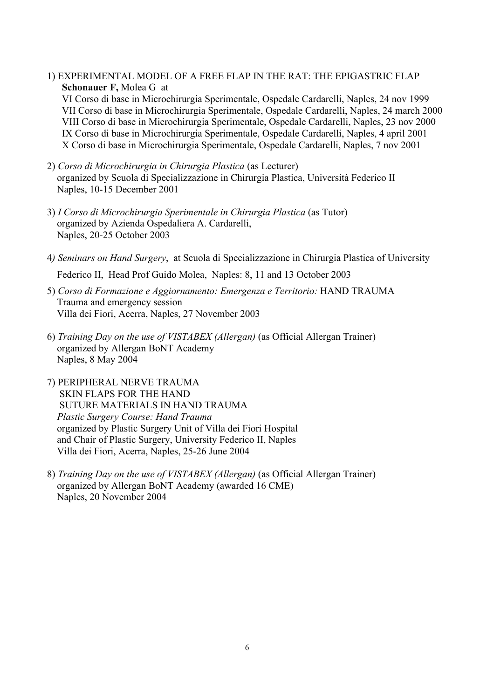1) EXPERIMENTAL MODEL OF A FREE FLAP IN THE RAT: THE EPIGASTRIC FLAP  **Schonauer F,** Molea G at

VI Corso di base in Microchirurgia Sperimentale, Ospedale Cardarelli, Naples, 24 nov 1999 VII Corso di base in Microchirurgia Sperimentale, Ospedale Cardarelli, Naples, 24 march 2000 VIII Corso di base in Microchirurgia Sperimentale, Ospedale Cardarelli, Naples, 23 nov 2000 IX Corso di base in Microchirurgia Sperimentale, Ospedale Cardarelli, Naples, 4 april 2001 X Corso di base in Microchirurgia Sperimentale, Ospedale Cardarelli, Naples, 7 nov 2001

- 2) *Corso di Microchirurgia in Chirurgia Plastica* (as Lecturer) organized by Scuola di Specializzazione in Chirurgia Plastica, Università Federico II Naples, 10-15 December 2001
- 3) *I Corso di Microchirurgia Sperimentale in Chirurgia Plastica* (as Tutor) organized by Azienda Ospedaliera A. Cardarelli, Naples, 20-25 October 2003
- 4*) Seminars on Hand Surgery*, at Scuola di Specializzazione in Chirurgia Plastica of University Federico II, Head Prof Guido Molea, Naples: 8, 11 and 13 October 2003
- 5) *Corso di Formazione e Aggiornamento: Emergenza e Territorio:* HAND TRAUMA Trauma and emergency session Villa dei Fiori, Acerra, Naples, 27 November 2003
- 6) *Training Day on the use of VISTABEX (Allergan)* (as Official Allergan Trainer) organized by Allergan BoNT Academy Naples, 8 May 2004
- 7) PERIPHERAL NERVE TRAUMA SKIN FLAPS FOR THE HAND SUTURE MATERIALS IN HAND TRAUMA  *Plastic Surgery Course: Hand Trauma*  organized by Plastic Surgery Unit of Villa dei Fiori Hospital and Chair of Plastic Surgery, University Federico II, Naples Villa dei Fiori, Acerra, Naples, 25-26 June 2004
- 8) *Training Day on the use of VISTABEX (Allergan)* (as Official Allergan Trainer) organized by Allergan BoNT Academy (awarded 16 CME) Naples, 20 November 2004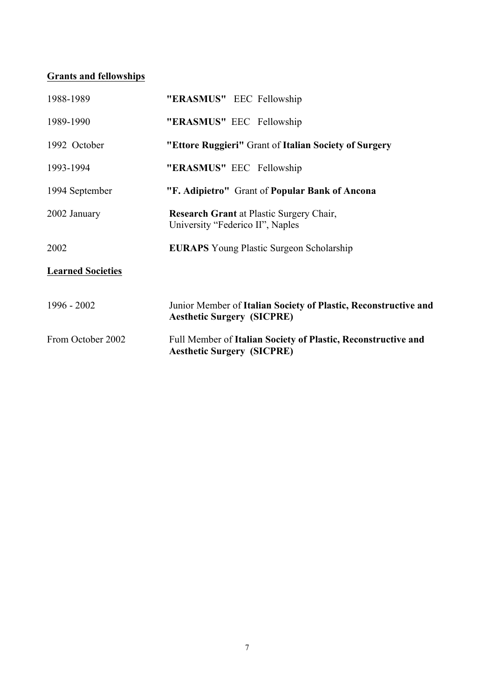### **Grants and fellowships**

| 1988-1989                | "ERASMUS" EEC Fellowship                                                                             |
|--------------------------|------------------------------------------------------------------------------------------------------|
| 1989-1990                | "ERASMUS" EEC Fellowship                                                                             |
| 1992 October             | "Ettore Ruggieri" Grant of Italian Society of Surgery                                                |
| 1993-1994                | "ERASMUS" EEC Fellowship                                                                             |
| 1994 September           | "F. Adipietro" Grant of Popular Bank of Ancona                                                       |
| 2002 January             | Research Grant at Plastic Surgery Chair,<br>University "Federico II", Naples                         |
| 2002                     | <b>EURAPS</b> Young Plastic Surgeon Scholarship                                                      |
| <b>Learned Societies</b> |                                                                                                      |
| $1996 - 2002$            | Junior Member of Italian Society of Plastic, Reconstructive and<br><b>Aesthetic Surgery (SICPRE)</b> |
| From October 2002        | Full Member of Italian Society of Plastic, Reconstructive and<br><b>Aesthetic Surgery (SICPRE)</b>   |